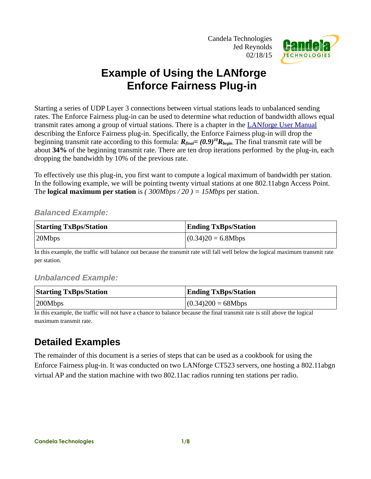Candela Technologies Jed Reynolds 02/18/15



## **Example of Using the LANforge Enforce Fairness Plug-in**

Starting a series of UDP Layer 3 connections between virtual stations leads to unbalanced sending rates. The Enforce Fairness plug-in can be used to determine what reduction of bandwidth allows equal transmit rates among a group of virtual stations. There is a chapter in the [LANforge User Manual](http://www.candelatech.com/lfgui_ug.php#plugins) describing the Enforce Fairness plug-in. Specifically, the Enforce Fairness plug-in will drop the beginning transmit rate according to this formula: *Rfinal= (0.9)<sup>10</sup>Rbegin*. The final transmit rate will be about **34%** of the beginning transmit rate. There are ten drop iterations performed by the plug-in, each dropping the bandwidth by 10% of the previous rate.

To effectively use this plug-in, you first want to compute a logical maximum of bandwidth per station. In the following example, we will be pointing twenty virtual stations at one 802.11abgn Access Point. The **logical maximum per station** is *( 300Mbps / 20 ) = 15Mbps* per station.

## *Balanced Example:*

| <b>Starting TxBps/Station</b> | <b>Ending TxBps/Station</b> |
|-------------------------------|-----------------------------|
| 20Mbps                        | $(0.34)20 = 6.8Mbps$        |

In this example, the traffic will balance out because the transmit rate will fall well below the logical maximum transmit rate per station.

## *Unbalanced Example:*

| <b>Starting TxBps/Station</b> | <b>Ending TxBps/Station</b> |  |  |  |
|-------------------------------|-----------------------------|--|--|--|
| 200Mbps                       | $(0.34)200 = 68Mbps$        |  |  |  |

In this example, the traffic will not have a chance to balance because the final transmit rate is still above the logical maximum transmit rate.

## **Detailed Examples**

The remainder of this document is a series of steps that can be used as a cookbook for using the Enforce Fairness plug-in. It was conducted on two LANforge CT523 servers, one hosting a 802.11abgn virtual AP and the station machine with two 802.11ac radios running ten stations per radio.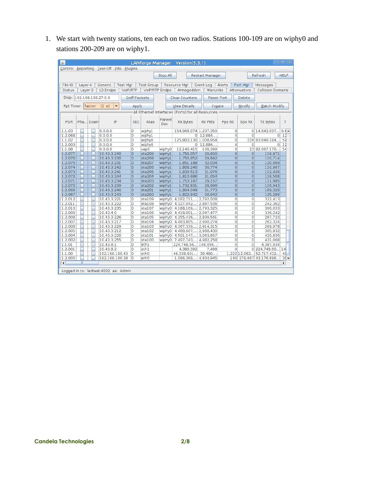1. We start with twenty stations, ten each on two radios. Stations 100-109 are on wiphy0 and stations 200-209 are on wiphy1.

| 画                    |                                         |          |                            |                                  |                      |                  | LANforge Manager Version(5.3.1)                    |                 |                           |                                  | 全                        | $\Box$ $\times$ |
|----------------------|-----------------------------------------|----------|----------------------------|----------------------------------|----------------------|------------------|----------------------------------------------------|-----------------|---------------------------|----------------------------------|--------------------------|-----------------|
|                      | Control Reporting Tear-Off Info Plugins |          |                            |                                  |                      |                  |                                                    |                 |                           |                                  |                          |                 |
|                      |                                         |          |                            |                                  |                      | Stop All         |                                                    | Restart Manager |                           |                                  | Refresh                  | <b>HELP</b>     |
|                      |                                         |          |                            |                                  |                      |                  |                                                    |                 |                           |                                  |                          |                 |
| File-IO              | Laver-4                                 |          | Generic                    | <b>Test Mgr</b>                  | <b>Test Group</b>    |                  | Resource Mgr                                       | Event Log       | Alerts                    | Port Mgr                         | Messages                 |                 |
| Status               |                                         | Layer-3  | L3 Endps                   | VolP/RTP                         |                      | VolP/RTP Endps   | Armageddon                                         | WanLinks        |                           | Attenuators                      | <b>Collision-Domains</b> |                 |
|                      |                                         |          |                            |                                  |                      |                  |                                                    |                 |                           |                                  |                          |                 |
| Disp:                |                                         |          | 192.168.100.27:0.0         |                                  | <b>Sniff Packets</b> |                  | <b>Clear Counters</b>                              |                 | <b>Reset Port</b>         | Delete                           |                          |                 |
|                      | Rpt Timer: faster                       |          | (1 s)<br>٠                 |                                  | Apply                |                  | <b>View Details</b>                                |                 | Create                    | Modify                           | <b>Batch Modify</b>      |                 |
|                      |                                         |          |                            |                                  |                      |                  | All Ethernet Interfaces (Ports) for all Resources. |                 |                           |                                  |                          |                 |
|                      |                                         |          |                            |                                  |                      |                  |                                                    |                 |                           |                                  |                          |                 |
| Port                 |                                         | Pha Down | IP                         | <b>SEC</b>                       | Alias                | Parent<br>Dev    | <b>RX Bytes</b>                                    | <b>RX Pkts</b>  | Pps RX                    | bps RX                           | <b>TX Bytes</b>          | T               |
|                      |                                         |          |                            |                                  |                      |                  |                                                    |                 |                           |                                  |                          |                 |
| 1.1.03               |                                         |          | 0.0.0.0                    | 0                                | wiphyl               |                  | 154,966,074 1,237,359                              |                 | 0                         |                                  | 0 14,643,097             | $9.6 -$         |
| 1.2.068              |                                         |          | 0.0.0.0                    | 0                                | wiphyl               |                  | 0                                                  | 12,884,         | 4                         | $\Omega$                         | $\Omega$                 | 12              |
| 1.1.02               |                                         |          | 0.0.0.0                    | o                                | wiphy0               |                  | 125,803,130 1,008,954                              |                 | $\overline{0}$            |                                  | 226 83,649,184           | 54              |
| 1.2.003              |                                         |          | 0.0.0.0                    | o                                | wiphy0               |                  | $\circ$                                            | 12,884,         | 4                         | O                                | 0                        | $_{12}$         |
| 1.1.08               |                                         |          | 0.0.0.0                    | Ō                                | vap0                 | wiphy0           | 12,146,415                                         | 108,399         | $\overline{0}$            |                                  | 23 82,667,170            | 54              |
| 1.2.077              |                                         |          | 10.43.3.240                | $\overline{0}$                   | sta209               | wiphyl           | 1,755,057                                          | 29,690          | $\overline{0}$            | $\overline{0}$                   | 116.871                  |                 |
| 1.2.076              |                                         |          | 10.43.3.230                | 0                                | sta208               | wiphyl           | 1,755,852                                          | 29,842          | $\overline{0}$            | $\overline{0}$                   | 110,714                  |                 |
| 1.2.075              |                                         |          | 10.43.3.231                | $\overline{0}$                   | sta207               | wiphyl           | 1,851,188                                          | 32,034          | $\overline{0}$            | $\overline{0}$                   | 120,069                  |                 |
| 1.2.074              |                                         |          | 10.43.3.242                | 0                                | sta206               | wiphyl           | 1,808,240                                          | 30,774          | $\circ$                   | $\overline{O}$                   | 110,967                  |                 |
| 1.2.073              |                                         |          | 10.43.3.241                | $\overline{0}$                   | sta205               | wiphyl           | 1,839,513                                          | 31,076          | $\overline{0}$            | $\overline{0}$                   | 112,426                  |                 |
| 1.2.072              |                                         |          | 10.43.3.244                | 0                                | sta204               | wiphyl           | 1,810,686                                          | 31,054          | $\overline{O}$            | $\overline{O}$                   | 116,508                  |                 |
| 1.2.071              |                                         |          | 10.43.3.234                | $\overline{0}$                   | sta203               | wiphyl           | 1,753,187                                          | 29,157          | $\overline{0}$            | $\overline{0}$                   | 111,985                  |                 |
| 1.2.070              |                                         |          | 10.43.3.239                | 0                                | sta202               | wiphyl           | 1,732,831                                          | 28,996          | $\overline{0}$            | $\overline{0}$                   | 116,943                  |                 |
| 1.2.069              |                                         |          | 10.43.3.246                | $\overline{0}$<br>$\overline{0}$ | sta201               | wiphyl           | 1,864,049                                          | 31,773          | $\circ$<br>$\overline{0}$ | $\overline{0}$<br>$\overline{0}$ | 109,320                  |                 |
| 1.2.067              |                                         |          | 10.43.3.243                | 0                                | sta200<br>stal09     | wiphyl           | 1,822,842<br>4,182,711, 2,792,008                  | 30,942          | 0                         | O                                | 125,289<br>322,413       |                 |
| 1.2.012<br>1.2.011   |                                         |          | 10.43.3.221<br>10.43.3.222 | 0                                | stal08               | wiphy0<br>wiphy0 | 4,327,042                                          | 2,887,536       | $\overline{0}$            | O                                | 242,362                  |                 |
| 1.2.010              |                                         |          | 10.43.3.235                | 0                                | stal07               | wiphy0           | 4,188,169,                                         | 2,793,325       | 0                         | $\mathbf{0}$                     | 306,033                  |                 |
| 1.2.009              |                                         |          | 10.43.4.0                  | 0                                | stal06               | wiphy0           | 4,418,001,                                         | 2,947,477       | 0                         | 0                                | 336,242                  |                 |
| 1.2.008              |                                         |          | 10.43.3.226                | 0                                | stal 05              | wiphy0           | 4,255,436,                                         | 2,839,561       | 0                         | 0                                | 287,723                  |                 |
| 1.2.007              |                                         |          | 10.43.3.217                | 0                                | stal04               | wiphy0           | 4,483,805,                                         | 2,990,274       | 0                         | O                                | 262,324                  |                 |
| 1.2.006              |                                         |          | 10.43.3.229                | O                                | stal03               | wiphy0           | 4,367,339,                                         | 2,914,315       | 0                         | 0                                | 269,978                  |                 |
| 1.2.005              |                                         |          | 10.43.3.212                | 0                                | stal02               | wiphy0           | 4,480,607,                                         | 2,988,430       | $\overline{0}$            | 0                                | 305,832                  |                 |
| 1.2.004              |                                         |          | 10.43.3.220                | 0                                | stal01               | wiphy0           | 4,591,147,                                         | 3,063,657       | 0                         | 0                                | 420,830                  |                 |
| 1.2.002              |                                         |          | 10.43.3.255                | O                                | stal00               | wiphy0           | 7,497,743,                                         | 4,982,258       | 0                         | 0                                | 431,068                  |                 |
| 1.1.01               |                                         |          | 10.43.8.1                  | O                                | eth1                 |                  | 224,748,56                                         | 148,056         | 0                         | 0                                | 4,387,934                |                 |
| 1.2.001              |                                         |          | 10.43.8.2                  | O                                | eth1                 |                  | 4.386.392                                          | 7,488           | 0                         |                                  | 0 224,748,60             | 14              |
| 1.1.00               |                                         |          | 192.168.100.43             | O                                | eth0                 |                  | 46,038,601                                         | 38,480,         |                           | 1,222 12,063                     | 52,717,432               | 40              |
| 1.2.000              |                                         |          | 192.168.100.38             | ١o                               | eth0                 |                  | 1.086.369 4.604.945                                |                 |                           |                                  | 140 279,667 43,176,896   | $30 -$          |
| $\blacktriangleleft$ | Ш<br>$\blacktriangleright$              |          |                            |                                  |                      |                  |                                                    |                 |                           |                                  |                          |                 |
|                      |                                         |          |                            |                                  |                      |                  |                                                    |                 |                           |                                  |                          |                 |
|                      | Logged in to: ledtest: 4002 as: Admin   |          |                            |                                  |                      |                  |                                                    |                 |                           |                                  |                          |                 |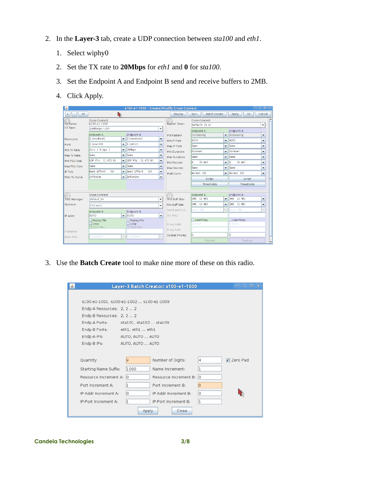- 2. In the **Layer-3** tab, create a UDP connection between *sta100* and *eth1*.
	- 1. Select wiphy0
	- 2. Set the TX rate to **20Mbps** for *eth1* and **0** for *sta100*.
	- 3. Set the Endpoint A and Endpoint B send and receive buffers to 2MB.
	- 4. Click Apply.

| 画                                     | $= 0$<br>$\hat{v}$<br>s100-e1-1000 - Create/Modify Cross Connect |                                                                                  |                                                       |                               |                                                   |                                             |                                      |                                                                              |                                                    |            |                                                         |
|---------------------------------------|------------------------------------------------------------------|----------------------------------------------------------------------------------|-------------------------------------------------------|-------------------------------|---------------------------------------------------|---------------------------------------------|--------------------------------------|------------------------------------------------------------------------------|----------------------------------------------------|------------|---------------------------------------------------------|
| All<br>$\ddot{}$<br>٠                 | R                                                                |                                                                                  |                                                       |                               | <b>Display</b>                                    | Sync                                        | <b>Batch-Create</b>                  |                                                                              | Apply                                              | OK         | Cancel                                                  |
| CX Name:<br>CX Type:                  | Cross-Connect<br>s100-e1-1000<br>LANforge / UDP<br>٠             |                                                                                  |                                                       |                               | Report Timer:                                     | Cross-Connect<br>default(5 s)<br>Endpoint A |                                      |                                                                              | $\overline{\phantom{a}}$                           |            |                                                         |
| Resource:                             | Endpoint A<br>2 (medtest)                                        | $\overline{\phantom{0}}$                                                         | <b>Endpoint B</b><br>2 (medtest)<br>$\vert$ 1 (eth1)  | ۰                             | Pld Pattern<br>Min IP Port:                       | increasing<br><b>AUTO</b>                   |                                      | $\overline{\phantom{a}}$<br>$\overline{\phantom{a}}$                         | Endpoint B<br>increasing<br><b>AUTO</b>            |            | ٠<br>٠                                                  |
| Port:<br>Min Tx Rate:<br>Max Tx Rate: | $2$ (stal $00$ )<br>Zero ( 0 bps )<br>Same                       | $\overline{\phantom{0}}$<br>$\overline{\phantom{a}}$<br>$\overline{\phantom{a}}$ | 20Mbps<br><b>Same</b>                                 | ۰<br>۰<br>▼                   | Max IP Port:<br>Min Duration:                     | Same<br>Forever                             |                                      | $\overline{\phantom{a}}$<br>▼                                                | Same<br>Forever                                    |            | ▼<br>▼                                                  |
| Min PDU Size:<br>Max PDU Size:        | UDP Pld (1,472 B)<br>Same                                        | $\overline{\phantom{a}}$<br>$\overline{\phantom{a}}$                             | $UDP$ $P1d$ $(1,472 B)$<br>Same                       | ▼<br>▼                        | Max Duration:<br>Min Reconn:<br>Max Reconn:       | Same<br>l٥<br>Same                          | $(0 \text{ ms})$                     | $\overline{\phantom{a}}$<br>$\blacktriangledown$<br>$\overline{\phantom{a}}$ | Same<br>$(0 \text{ ms})$<br>le<br>Same             |            | ٠<br>▼<br>$\overline{\phantom{a}}$                      |
| IP ToS:<br>Pkts To Send:              | <b>Best Effort</b><br>(0)<br>Infinite                            | $\overline{\phantom{a}}$<br>$\overline{\phantom{a}}$                             | Best Effort<br>(0)<br>Infinite                        | ٠<br>$\overline{\phantom{a}}$ | Multi-Conn:                                       |                                             | Normal (0)<br><b>Script</b>          | $\overline{\phantom{a}}$                                                     | Normal (0)                                         | Script     | $\overline{\phantom{a}}$                                |
|                                       | Cross-Connect                                                    |                                                                                  |                                                       |                               |                                                   | <b>Endpoint A</b>                           | Thresholds                           |                                                                              | <b>Endpoint B</b>                                  | Thresholds |                                                         |
| <b>Test Manager</b><br>Ouiesce:       | default tm<br>3(3 sec)<br>Endpoint A                             |                                                                                  | <b>Endpoint B</b>                                     | ٠<br>٠                        | Snd Buff Size:<br>Rcy Buff Size:<br>Send Bad FCS: | 2MB<br>2MB<br>zero (O%)                     | $(2 \text{ MB})$<br>$(2 \text{ MB})$ | $\overline{\phantom{a}}$<br>$\blacktriangledown$<br>÷                        | 2MB (2 MB)<br>$(2 \text{ MB})$<br>2MB<br>zero (0%) |            | ▼<br>$\overline{\mathbf{v}}$<br>$\overline{\mathbf{v}}$ |
| IP Addr:                              | AUTO<br>Replay File<br>$\Box$ Loop<br>□Dest Mac                  | $\overline{\phantom{0}}$                                                         | <b>AUTO</b><br>Replay File<br>$\Box$ Loop<br>Dest Mac | $\blacktriangledown$          | Src MAC:<br>Proxy Addr:                           | 0.0.0.0                                     | Use-Proxy                            |                                                                              | Use-Proxy<br>0.0.0.0                               |            |                                                         |
| Filename:<br>Dest MAC:                | <custom></custom>                                                | $\overline{\phantom{0}}$                                                         | <custom></custom>                                     | $\overline{\mathbf{v}}$       | Proxy Port:<br>Socket Priority:                   | lo.<br>lo                                   | Payload                              |                                                                              | Ō<br>lo                                            | Payload    | ÷                                                       |

3. Use the **Batch Create** tool to make nine more of these on this radio.

|                                         |                        | Layer-3 Batch Creator: s100-e1-1000 |    | $  \sim$<br>ਜ਼ਿੰ |
|-----------------------------------------|------------------------|-------------------------------------|----|------------------|
|                                         |                        |                                     |    |                  |
| s100-e1-1001, s100-e1-1002 s100-e1-1009 |                        |                                     |    |                  |
| Endp-A Resources: 2, 2 2                |                        |                                     |    |                  |
| Endp-B Resources: 2, 2 2                |                        |                                     |    |                  |
| Endp-A Ports:                           | sta101, sta102  sta109 |                                     |    |                  |
| Endp-B Ports:                           | eth1, eth1  eth1       |                                     |    |                  |
| Endp-A IPs:                             | AUTO, AUTO  AUTO       |                                     |    |                  |
| Endp-B IPs:                             | AUTO, AUTO  AUTO       |                                     |    |                  |
|                                         |                        |                                     |    |                  |
| Quantity:                               | 19                     | Number of Digits:                   | 14 | Zero Pad         |
| <b>Starting Name Suffix:</b>            | 1000                   | Name Increment:                     |    |                  |
| Resource Increment A: 0                 |                        | Resource Increment B:               | lo |                  |
| Port Increment A:                       |                        | Port Increment B:                   | lo |                  |
| IP Addr Increment A:                    | ١o                     | IP Addr Increment B:                | ١o |                  |
| IP-Port Increment A:                    | ı                      | IP-Port Increment B:                | ı  |                  |
|                                         | Apply                  | Close                               |    |                  |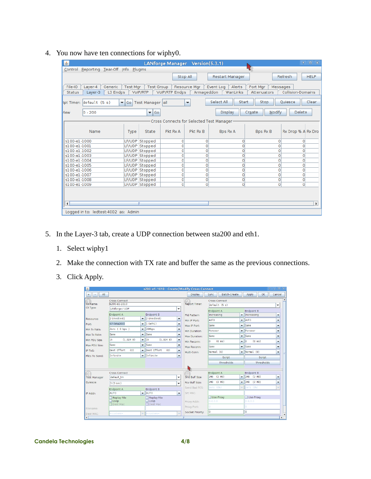| 画                                       |                                                                                                                                                                                                                                                     |                         |                          | LANforge Manager Version(5.3.1) |                      |                                           |                  | 令.                 | $\Box$ $\times$ |
|-----------------------------------------|-----------------------------------------------------------------------------------------------------------------------------------------------------------------------------------------------------------------------------------------------------|-------------------------|--------------------------|---------------------------------|----------------------|-------------------------------------------|------------------|--------------------|-----------------|
| Control Reporting Tear-Off Info Plugins |                                                                                                                                                                                                                                                     |                         |                          |                                 |                      |                                           |                  |                    |                 |
|                                         |                                                                                                                                                                                                                                                     |                         |                          | Stop All                        |                      | Restart Manager                           |                  | Refresh            | <b>HELP</b>     |
| File-IO<br><b>Status</b>                | <b>Test Mgr</b><br><b>Test Group</b><br>Resource Mgr<br>Port Mgr<br>Layer-4<br>Generic<br>Event Log<br>Alerts<br>Messages<br>VolP/RTP Endps<br>Armageddon<br><b>Collision-Domains</b><br>L3 Endps<br>WanLinks<br>Attenuators<br>VoIP/RTP<br>Layer-3 |                         |                          |                                 |                      |                                           |                  |                    |                 |
| kpt Timer: default (5 s)                |                                                                                                                                                                                                                                                     | $\blacktriangledown$ Go | Test Manager all         |                                 | $\blacktriangledown$ | Select All<br>Start                       | Stop             | <b>Quiesce</b>     | Clear           |
| 0 - 200<br><i>l</i> ew                  |                                                                                                                                                                                                                                                     |                         | $\blacktriangleright$ 60 |                                 |                      | Display                                   | Modify<br>Create | <b>Delete</b>      |                 |
|                                         |                                                                                                                                                                                                                                                     |                         |                          |                                 |                      | Cross Connects for Selected Test Manager- |                  |                    |                 |
|                                         |                                                                                                                                                                                                                                                     |                         |                          |                                 |                      |                                           |                  |                    |                 |
| Name                                    |                                                                                                                                                                                                                                                     | Type                    | State                    | Pkt Rx A                        | Pkt Rx B             | <b>Bps Rx A</b>                           | <b>Bps Rx B</b>  | Rx Drop % A Rx Dro |                 |
| s100-e1-1000                            |                                                                                                                                                                                                                                                     |                         | LF/UDP Stopped           | $\circ$                         | $\circ$              | 0                                         | 0                | $\Omega$           |                 |
| s100-e1-1001                            |                                                                                                                                                                                                                                                     |                         | LF/UDP Stopped           | 0                               | O                    | 0                                         | 0                | 0                  |                 |
| s100-e1-1002                            |                                                                                                                                                                                                                                                     |                         | LF/UDP Stopped           | 0                               | $\circ$              | 0                                         | 0                | $\circ$            |                 |
| s100-e1-1003                            |                                                                                                                                                                                                                                                     |                         | LF/UDP Stopped           | 0                               | $\circ$              | 0                                         | O                | $\mathbf 0$        |                 |
| s100-e1-1004                            |                                                                                                                                                                                                                                                     |                         | LF/UDP Stopped           | 0                               | $\circ$              | 0                                         | 0                | 0                  |                 |
| s100-e1-1005                            |                                                                                                                                                                                                                                                     |                         | LF/UDP Stopped           | $\mathbf 0$                     | $\overline{0}$       | 0                                         | 0                | $\Omega$           |                 |
| s100-e1-1006                            |                                                                                                                                                                                                                                                     |                         | LF/UDP Stopped           | $\circ$                         | 0                    | 0                                         | 0                | $\mathbf 0$        |                 |
| s100-e1-1007                            |                                                                                                                                                                                                                                                     |                         | LF/UDP Stopped           | $\overline{0}$                  | $\mathbf{0}$         | 0                                         | 0                | $\mathbf 0$        |                 |
| s100-e1-1008                            |                                                                                                                                                                                                                                                     |                         | LF/UDP Stopped           | 0                               | $\circ$              | 0                                         | $\Omega$         | 0                  |                 |
| s100-e1-1009                            |                                                                                                                                                                                                                                                     |                         | LF/UDP Stopped           | 0                               | $\circ$              | 0                                         | $\Omega$         | $\Omega$           |                 |
|                                         |                                                                                                                                                                                                                                                     |                         |                          |                                 |                      |                                           |                  |                    |                 |
| $\blacktriangleleft$                    |                                                                                                                                                                                                                                                     |                         | Ш                        |                                 |                      |                                           |                  |                    |                 |
|                                         | Logged in to: ledtest: 4002 as: Admin                                                                                                                                                                                                               |                         |                          |                                 |                      |                                           |                  |                    |                 |

4. You now have ten connections for wiphy0.

- 5. In the Layer-3 tab, create a UDP connection between sta200 and eth1.
	- 1. Select wiphy1
	- 2. Make the connection with TX rate and buffer the same as the previous connections.
	- 3. Click Apply.

| $\mathcal{L}_2$       |                                |                          | s200-e1-1010 - Create/Modify Cross Connect |                          |                      |                                |                          | $f = 0$ $\times$                   |                          |                       |
|-----------------------|--------------------------------|--------------------------|--------------------------------------------|--------------------------|----------------------|--------------------------------|--------------------------|------------------------------------|--------------------------|-----------------------|
| All<br>$\ddot{}$<br>٠ |                                |                          |                                            |                          | <b>Display</b>       | Batch-Create<br>Sync           |                          | Apply<br>OK                        | Cancel                   |                       |
| CX Name:              | Cross-Connect<br>s200-e1-1010  |                          |                                            |                          | <b>Report Timer:</b> | Cross-Connect<br>default (5 s) |                          |                                    | ۰                        |                       |
| CX Type:              | LANforge / UDP                 |                          |                                            | ٠                        |                      | Endpoint A                     |                          | <b>Endpoint B</b>                  |                          |                       |
| Resource:             | Endpoint A<br>2 (medtest)      | $\overline{\phantom{0}}$ | <b>Endpoint B</b><br>2 (medtest)           | $\blacktriangledown$     | Pld Pattern          | increasing                     | $\overline{\phantom{a}}$ | lincreasing                        | Y                        |                       |
|                       | 67 (sta200)                    | $\overline{\phantom{0}}$ | $\vert$ 1 (eth1)                           |                          | Min IP Port:         | <b>AUTO</b>                    | $\overline{\phantom{0}}$ | <b>AUTO</b>                        | ٠                        |                       |
| Port:                 |                                |                          |                                            | $\blacktriangledown$     | Max IP Port:         | Same                           | ۰                        | <b>Sane</b>                        | $\checkmark$             |                       |
| Min Tx Rate:          | Zero ( 0 bps )                 | $\overline{\phantom{a}}$ | 20Mbps                                     | $\blacktriangledown$     | Min Duration:        | Forever                        | ۰                        | Forever                            | ٠                        |                       |
| Max Tx Rate:          | Same                           | $\overline{\phantom{a}}$ | Sane                                       | $\overline{\phantom{a}}$ | Max Duration:        | Same                           | ▼                        | Sane                               | ۰                        |                       |
| Min PDU Size:         | lık.<br>(1, 024 B)             | $\blacktriangledown$     | x <br>(1,024 B)                            | $\blacktriangledown$     | Min Reconn:          | $(0 \text{ ms})$<br>o          | $\overline{\phantom{a}}$ | $\overline{0}$<br>$(0 \text{ ms})$ | $\blacktriangledown$     |                       |
| Max PDU Size:         | Same                           | $\overline{\phantom{a}}$ | <b>Sane</b>                                | $\blacktriangledown$     | Max Reconn:          | Same                           | ٠                        | <b>Sane</b>                        | ٠                        |                       |
| IP ToS:               | Best Effort<br>(0)             | $\overline{\phantom{0}}$ | Best Effort<br>(0)                         | ▼                        | Multi-Conn:          | Normal (0)                     | ۰                        | Normal (0)                         | $\overline{\phantom{a}}$ |                       |
| Pkts To Send:         | Infinite                       | $\overline{\phantom{0}}$ | Infinite                                   | ▼                        |                      | Script                         |                          | Script                             |                          |                       |
|                       |                                |                          |                                            |                          |                      | <b>Thresholds</b>              |                          | Thresholds                         |                          |                       |
|                       |                                |                          |                                            |                          |                      |                                |                          |                                    |                          |                       |
|                       | Cross-Connect                  |                          |                                            |                          |                      | Endpoint A                     |                          | <b>Endpoint B</b>                  |                          |                       |
| <b>Test Manager</b>   | default tm                     |                          |                                            | ٠                        | Snd Buff Size:       | $(2 \text{ MB})$<br>2MB        | $\overline{\phantom{a}}$ | $(2 \text{ MB})$<br>2MB            | $\overline{\phantom{a}}$ |                       |
| Ouiesce:              | 3(3 sec)                       |                          |                                            | ٠                        | Rcy Buff Size:       | $(2 \text{ MB})$<br>2MB        | ٠                        | $(2 \text{ MB})$<br>2MB            | ٠                        |                       |
|                       | Endpoint A                     |                          | <b>Endpoint B</b>                          |                          | Send Bad FCS:        | zero (O%)                      | $\overline{\phantom{a}}$ | zero (O%)                          | $\overline{\phantom{a}}$ |                       |
| IP Addr:              | AUTO                           | $\overline{\phantom{a}}$ | <b>AUTO</b>                                | $\overline{\phantom{a}}$ | Src MAC:             |                                |                          |                                    |                          |                       |
|                       | Replay File                    |                          | Replay File                                |                          |                      | Use-Proxy                      |                          | Use-Proxy                          |                          |                       |
|                       | $\Box$ Loop<br><b>Dest Mac</b> |                          | Loop<br>Dest Mac                           |                          | Proxy Addr:          | 0.0.0.0                        |                          | 0.0.0.0                            |                          |                       |
| Filename:             |                                |                          |                                            |                          | Proxy Port:          | 0                              |                          | lo                                 |                          |                       |
| Dest MAC:             | <custom></custom>              | $\overline{\phantom{a}}$ | $\mathsf{l}$ < custom>                     | $\overline{\phantom{a}}$ | Socket Priority:     | O                              |                          | lo                                 |                          |                       |
| $\blacktriangleleft$  |                                |                          |                                            |                          |                      |                                |                          |                                    |                          | $\blacktriangleright$ |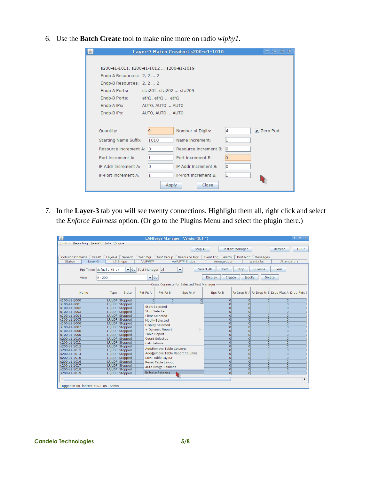6. Use the **Batch Create** tool to make nine more on radio *wiphy1*.

| 垂 |                                         |                        | Layer-3 Batch Creator: s200-e1-1010 |    | $\Box$ $\times$<br>全.<br>o l |
|---|-----------------------------------------|------------------------|-------------------------------------|----|------------------------------|
|   |                                         |                        |                                     |    |                              |
|   | s200-e1-1011, s200-e1-1012 s200-e1-1019 |                        |                                     |    |                              |
|   | Endp-A Resources: 2, 2  2               |                        |                                     |    |                              |
|   | Endp-B Resources: 2, 2  2               |                        |                                     |    |                              |
|   | Endp-A Ports:                           | sta201, sta202  sta209 |                                     |    |                              |
|   | Endp-B Ports:                           | ethl. ethl  ethl       |                                     |    |                              |
|   | Endp-A IPs:                             | AUTO, AUTO  AUTO       |                                     |    |                              |
|   | Endp-B IPs:                             | AUTO, AUTO  AUTO       |                                     |    |                              |
|   |                                         |                        |                                     |    |                              |
|   | Quantity:                               | l9                     | Number of Digits:                   | 4  | Zero Pad                     |
|   | <b>Starting Name Suffix:</b>            | 1010                   | Name Increment:                     | ı  |                              |
|   | Resource Increment A: 0                 |                        | Resource Increment B:               | 10 |                              |
|   | Port Increment A:                       | 1                      | Port Increment B:                   | lo |                              |
|   | IP Addr Increment A:                    | ١o                     | IP Addr Increment B:                | ١o |                              |
|   | IP-Port Increment A:                    | 1                      | IP-Port Increment B:                | Iı |                              |
|   |                                         | <b>Apply</b>           | Close                               |    |                              |

7. In the **Layer-3** tab you will see twenty connections. Highlight them all, right click and select the *Enforce Fairness* option. (Or go to the Plugins Menu and select the plugin there.)

| $\mathbf{L}$                                                                                                        | LANforge Manager Version(5.3.1)                      |                                                                                                    | $\Box$ $\times$<br>令.                           |  |  |  |  |  |  |
|---------------------------------------------------------------------------------------------------------------------|------------------------------------------------------|----------------------------------------------------------------------------------------------------|-------------------------------------------------|--|--|--|--|--|--|
| Control Reporting Tear-Off Info Plugins                                                                             |                                                      |                                                                                                    |                                                 |  |  |  |  |  |  |
|                                                                                                                     |                                                      |                                                                                                    |                                                 |  |  |  |  |  |  |
|                                                                                                                     | Stop All                                             | Restart Manager                                                                                    | <b>HELP</b><br>Refresh                          |  |  |  |  |  |  |
|                                                                                                                     |                                                      |                                                                                                    |                                                 |  |  |  |  |  |  |
| Collision-Domains<br>File-IO<br>Layer-4<br>Generic                                                                  | <b>Test Mar</b><br><b>Test Group</b><br>Resource Mar | Alerts<br>Event Log<br>Port Mar<br>Messages                                                        |                                                 |  |  |  |  |  |  |
| Armageddon<br>Wanl inks<br>Status<br>L3 Endps<br><b>VoIP/RTP</b><br><b>VolP/RTP Endps</b><br>Layer-3<br>Attenuators |                                                      |                                                                                                    |                                                 |  |  |  |  |  |  |
| Select All                                                                                                          |                                                      |                                                                                                    |                                                 |  |  |  |  |  |  |
| Rpt Timer: default (5 s)<br>$\blacktriangledown$ Go                                                                 | ٠<br>Test Manager all                                | <b>Start</b><br>Stop<br>Ouiesce                                                                    | Clear                                           |  |  |  |  |  |  |
| $0 - 200$<br>View                                                                                                   | $\overline{\phantom{a}}$ Go                          | <b>Display</b><br>Modify<br>Create                                                                 | Delete                                          |  |  |  |  |  |  |
|                                                                                                                     |                                                      |                                                                                                    |                                                 |  |  |  |  |  |  |
|                                                                                                                     | Cross Connects for Selected Test Manager             |                                                                                                    |                                                 |  |  |  |  |  |  |
|                                                                                                                     |                                                      |                                                                                                    |                                                 |  |  |  |  |  |  |
| <b>Name</b><br>Type<br>State                                                                                        | Pkt Rx B<br>Pkt Rx A<br><b>Bps Rx A</b>              | <b>Bps Rx B</b>                                                                                    | Rx Drop % A Rx Drop % B Drop Pkts A Drop Pkts E |  |  |  |  |  |  |
|                                                                                                                     |                                                      |                                                                                                    |                                                 |  |  |  |  |  |  |
| s100-e1-1000<br>LF/UDP Stopped                                                                                      | $\circ$<br>$\Omega$<br>$\circ$                       | $\overline{0}$<br>$\Omega$<br>$\Omega$                                                             | $\overline{0}$                                  |  |  |  |  |  |  |
| s100-e1-1001<br>LF/UDP Stopped                                                                                      | <b>Start Selected</b>                                | $\overline{0}$<br>$\Omega$<br>$\overline{0}$                                                       | $\Omega$                                        |  |  |  |  |  |  |
| LF/UDP Stopped<br>s100-e1-1002                                                                                      |                                                      | $\Omega$<br>$\overline{0}$<br>$\overline{0}$                                                       | $\overline{0}$                                  |  |  |  |  |  |  |
| s100-e1-1003<br>LF/UDP Stopped                                                                                      | <b>Stop Selected</b>                                 | $\overline{0}$<br>$\overline{0}$<br>$\Omega$                                                       | $\Omega$                                        |  |  |  |  |  |  |
| s100-e1-1004<br>LF/UDP Stopped                                                                                      | Clear Selected                                       | $\overline{0}$<br>$\overline{0}$<br>$\Omega$                                                       | $\Omega$                                        |  |  |  |  |  |  |
| LF/UDP Stopped<br>s100-e1-1005                                                                                      | Modify Selected                                      | $\Omega$<br>$\overline{0}$<br>$\overline{0}$                                                       | $\overline{0}$                                  |  |  |  |  |  |  |
| s100-e1-1006<br>LF/UDP Stopped                                                                                      | <b>Display Selected</b>                              | $\Omega$<br>$\Omega$<br>$\Omega$                                                                   | $\circ$                                         |  |  |  |  |  |  |
| s100-e1-1007<br>LF/UDP Stopped                                                                                      | 心 Dynamic Report<br>D                                | $\Omega$<br>$\Omega$<br>$\Omega$                                                                   | $\overline{0}$                                  |  |  |  |  |  |  |
| LF/UDP Stopped<br>s100-e1-1008                                                                                      | <b>Table Report</b>                                  | $\overline{0}$<br>$\overline{0}$<br>$\overline{O}$                                                 | $\overline{0}$                                  |  |  |  |  |  |  |
| s100-e1-1009<br>LF/UDP Stopped                                                                                      |                                                      | $\overline{O}$<br>$\Omega$<br>$\Omega$                                                             | $\overline{0}$                                  |  |  |  |  |  |  |
| s200-el-1010<br>LF/UDP Stopped                                                                                      | Count Selected                                       | $\overline{0}$<br>$\overline{0}$<br>$\overline{0}$                                                 | $\overline{0}$                                  |  |  |  |  |  |  |
| LF/UDP Stopped<br>s200-el-1011                                                                                      | Calculations                                         | $\Omega$<br>$\Omega$<br>$\overline{0}$                                                             | $\overline{0}$                                  |  |  |  |  |  |  |
| s200-e1-1012<br>LF/UDP Stopped                                                                                      | Add/Remove Table Columns                             | $\Omega$<br>$\Omega$<br>$\Omega$<br>$\Omega$                                                       | $\Omega$                                        |  |  |  |  |  |  |
| s200-e1-1013<br>LF/UDP Stopped                                                                                      | Add/Remove Table Report Columns                      | $\overline{0}$<br>$\overline{0}$<br>$\Omega$<br>$\Omega$<br>$\Omega$                               | $\overline{0}$                                  |  |  |  |  |  |  |
| s200-e1-1014<br>LF/UDP Stopped                                                                                      |                                                      |                                                                                                    | $\overline{0}$                                  |  |  |  |  |  |  |
| s200-e1-1015<br>LF/UDP Stopped<br>s200-e1-1016                                                                      | Save Table Layout                                    | $\overline{0}$<br>$\overline{O}$<br>$\overline{0}$<br>$\overline{0}$<br>$\overline{0}$<br>$\Omega$ | $\overline{0}$<br>$\overline{0}$                |  |  |  |  |  |  |
| LF/UDP Stopped<br>s200-e1-1017                                                                                      | Reset Table Layout                                   | $\Omega$<br>$\Omega$<br>$\Omega$                                                                   | $\Omega$                                        |  |  |  |  |  |  |
| LF/UDP Stopped<br>s200-e1-1018<br>LF/UDP Stopped                                                                    | Auto-Resize Columns                                  | $\Omega$<br>Ō<br>$\Omega$                                                                          | $\Omega$                                        |  |  |  |  |  |  |
| LF/UDP Stopped<br>s200-el-1019                                                                                      | <b>Enforce Fairness</b>                              | $\Omega$<br>$\Omega$<br>$\Omega$                                                                   | 0                                               |  |  |  |  |  |  |
|                                                                                                                     |                                                      |                                                                                                    |                                                 |  |  |  |  |  |  |
| $\left  \right $                                                                                                    | Ш                                                    |                                                                                                    | $\blacktriangleright$                           |  |  |  |  |  |  |
| Logged in to: ledtest: 4002 as: Admin                                                                               |                                                      |                                                                                                    |                                                 |  |  |  |  |  |  |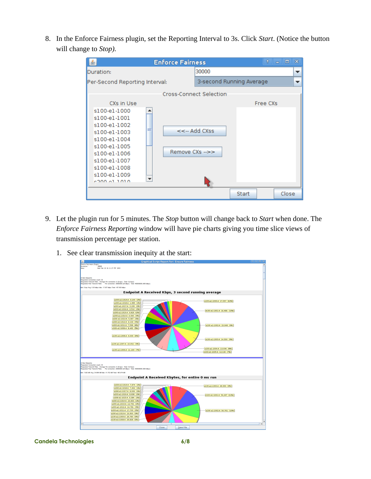8. In the Enforce Fairness plugin, set the Reporting Interval to 3s. Click *Start*. (Notice the button will change to *Stop).*

| <b>Enforce Fairness</b>                                                                                                                                                                                               | ×<br>Ŷ<br>$\Box$<br>$\blacksquare$ |
|-----------------------------------------------------------------------------------------------------------------------------------------------------------------------------------------------------------------------|------------------------------------|
| Duration:                                                                                                                                                                                                             | 30000<br>$\blacksquare$            |
| Per-Second Reporting Interval:                                                                                                                                                                                        | 3-second Running Average           |
|                                                                                                                                                                                                                       | Cross-Connect Selection            |
| CXs in Use<br>s100-el-1000<br>▲<br>s100-el-1001<br>s100-el-1002<br>s100-el-1003<br>s100-el-1004<br>s100-el-1005<br>Remove CXs -->><br>s100-el-1006<br>s100-e1-1007<br>s100-el-1008<br>s100-el-1009<br>▼<br>conniction | Free CXs<br>$<<$ - Add CXss        |
|                                                                                                                                                                                                                       | Close<br>Start                     |

- 9. Let the plugin run for 5 minutes. The *Stop* button will change back to *Start* when done. The *Enforce Fairness Reporting* window will have pie charts giving you time slice views of transmission percentage per station.
	- 1. See clear transmission inequity at the start:

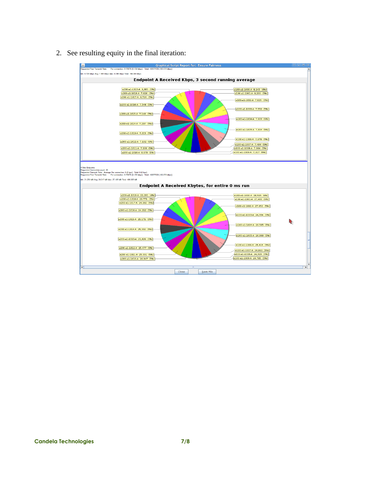

2. See resulting equity in the final iteration: